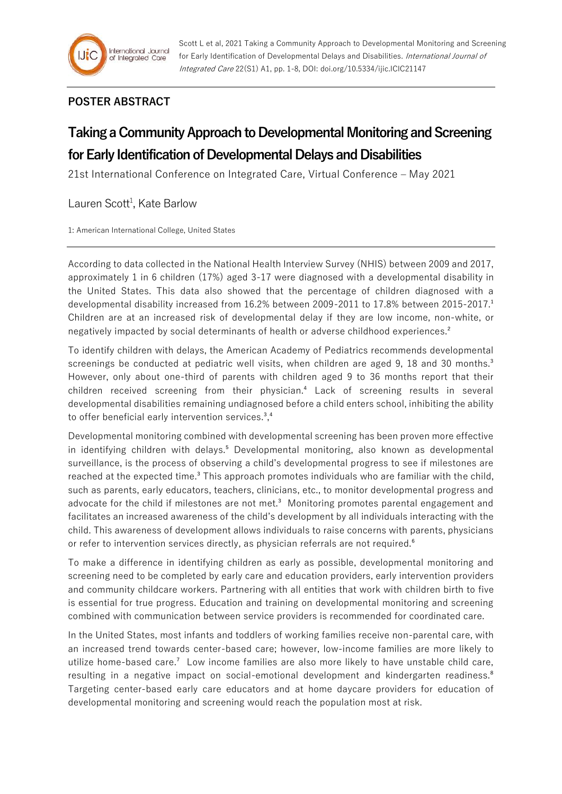Scott L et al, 2021 Taking a Community Approach to Developmental Monitoring and Screening for Early Identification of Developmental Delays and Disabilities. International Journal of Integrated Care 22(S1) A1, pp. 1-8, DOI: doi.org/10.5334/ijic.ICIC21147

## **POSTER ABSTRACT**

## **Taking a Community Approach to Developmental Monitoring and Screening for Early Identification of Developmental Delays and Disabilities**

21st International Conference on Integrated Care, Virtual Conference – May 2021

## Lauren Scott<sup>1</sup>, Kate Barlow

1: American International College, United States

According to data collected in the National Health Interview Survey (NHIS) between 2009 and 2017, approximately 1 in 6 children (17%) aged 3-17 were diagnosed with a developmental disability in the United States. This data also showed that the percentage of children diagnosed with a developmental disability increased from 16.2% between 2009-2011 to 17.8% between 2015-2017.<sup>1</sup> Children are at an increased risk of developmental delay if they are low income, non-white, or negatively impacted by social determinants of health or adverse childhood experiences.²

To identify children with delays, the American Academy of Pediatrics recommends developmental screenings be conducted at pediatric well visits, when children are aged 9, 18 and 30 months.<sup>3</sup> However, only about one-third of parents with children aged 9 to 36 months report that their children received screening from their physician.<sup>4</sup> Lack of screening results in several developmental disabilities remaining undiagnosed before a child enters school, inhibiting the ability to offer beneficial early intervention services.<sup>3</sup>,<sup>4</sup>

Developmental monitoring combined with developmental screening has been proven more effective in identifying children with delays.<sup>5</sup> Developmental monitoring, also known as developmental surveillance, is the process of observing a child's developmental progress to see if milestones are reached at the expected time.<sup>3</sup> This approach promotes individuals who are familiar with the child, such as parents, early educators, teachers, clinicians, etc., to monitor developmental progress and advocate for the child if milestones are not met.<sup>3</sup> Monitoring promotes parental engagement and facilitates an increased awareness of the child's development by all individuals interacting with the child. This awareness of development allows individuals to raise concerns with parents, physicians or refer to intervention services directly, as physician referrals are not required.<sup>6</sup>

To make a difference in identifying children as early as possible, developmental monitoring and screening need to be completed by early care and education providers, early intervention providers and community childcare workers. Partnering with all entities that work with children birth to five is essential for true progress. Education and training on developmental monitoring and screening combined with communication between service providers is recommended for coordinated care.

In the United States, most infants and toddlers of working families receive non-parental care, with an increased trend towards center-based care; however, low-income families are more likely to utilize home-based care.⁷ Low income families are also more likely to have unstable child care, resulting in a negative impact on social-emotional development and kindergarten readiness.<sup>8</sup> Targeting center-based early care educators and at home daycare providers for education of developmental monitoring and screening would reach the population most at risk.